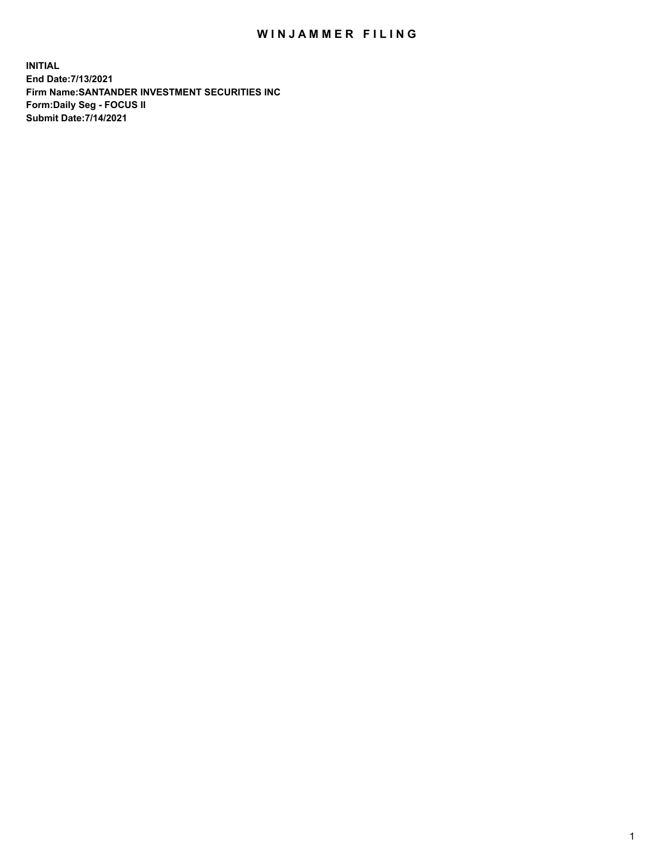## WIN JAMMER FILING

**INITIAL End Date:7/13/2021 Firm Name:SANTANDER INVESTMENT SECURITIES INC Form:Daily Seg - FOCUS II Submit Date:7/14/2021**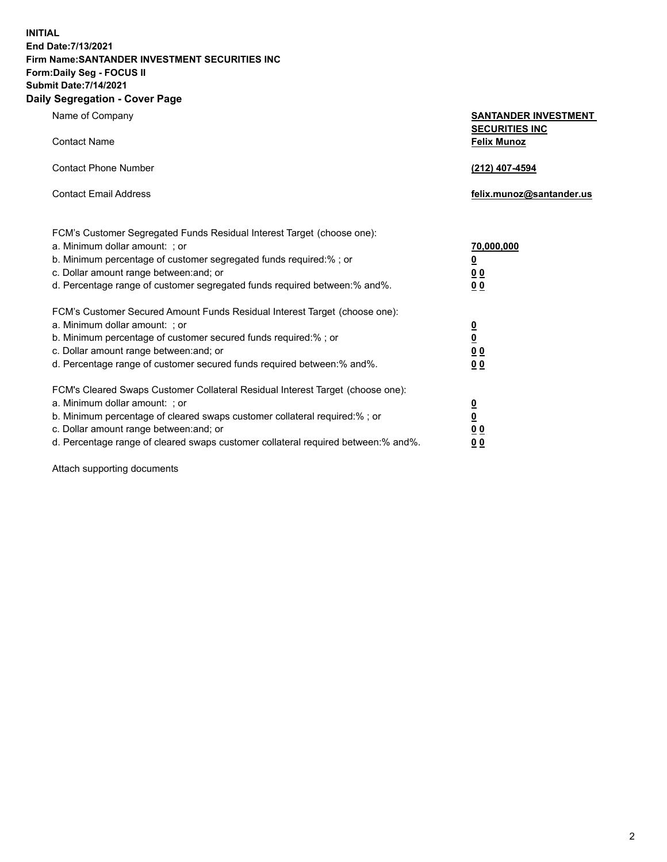**INITIAL End Date:7/13/2021 Firm Name:SANTANDER INVESTMENT SECURITIES INC Form:Daily Seg - FOCUS II Submit Date:7/14/2021 Daily Segregation - Cover Page**

| Name of Company                                                                   | <b>SANTANDER INVESTMENT</b><br><b>SECURITIES INC</b> |
|-----------------------------------------------------------------------------------|------------------------------------------------------|
| <b>Contact Name</b>                                                               | <b>Felix Munoz</b>                                   |
| <b>Contact Phone Number</b>                                                       | (212) 407-4594                                       |
| <b>Contact Email Address</b>                                                      | felix.munoz@santander.us                             |
| FCM's Customer Segregated Funds Residual Interest Target (choose one):            |                                                      |
| a. Minimum dollar amount: ; or                                                    | <u>70,000,000</u>                                    |
| b. Minimum percentage of customer segregated funds required:% ; or                | <u>0</u>                                             |
| c. Dollar amount range between: and; or                                           | 0 <sub>0</sub>                                       |
| d. Percentage range of customer segregated funds required between:% and%.         | 0 <sub>0</sub>                                       |
| FCM's Customer Secured Amount Funds Residual Interest Target (choose one):        |                                                      |
| a. Minimum dollar amount: ; or                                                    | $\frac{0}{0}$                                        |
| b. Minimum percentage of customer secured funds required:%; or                    |                                                      |
| c. Dollar amount range between: and; or                                           | 0 <sub>0</sub>                                       |
| d. Percentage range of customer secured funds required between:% and%.            | 0 <sub>0</sub>                                       |
| FCM's Cleared Swaps Customer Collateral Residual Interest Target (choose one):    |                                                      |
| a. Minimum dollar amount: ; or                                                    | $\overline{\mathbf{0}}$                              |
| b. Minimum percentage of cleared swaps customer collateral required:% ; or        | $\underline{\mathbf{0}}$                             |
| c. Dollar amount range between: and; or                                           | 00                                                   |
| d. Percentage range of cleared swaps customer collateral required between:% and%. | <u>00</u>                                            |

Attach supporting documents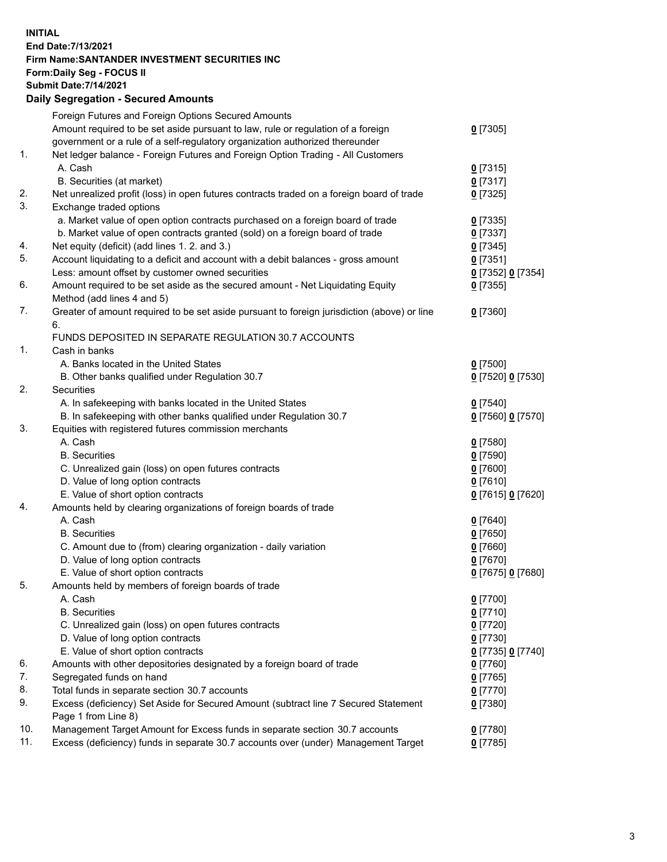**INITIAL End Date:7/13/2021 Firm Name:SANTANDER INVESTMENT SECURITIES INC Form:Daily Seg - FOCUS II Submit Date:7/14/2021 Daily Segregation - Secured Amounts**

|     | Foreign Futures and Foreign Options Secured Amounts                                         |                                         |
|-----|---------------------------------------------------------------------------------------------|-----------------------------------------|
|     | Amount required to be set aside pursuant to law, rule or regulation of a foreign            | $0$ [7305]                              |
|     | government or a rule of a self-regulatory organization authorized thereunder                |                                         |
| 1.  | Net ledger balance - Foreign Futures and Foreign Option Trading - All Customers             |                                         |
|     | A. Cash                                                                                     | $0$ [7315]                              |
|     | B. Securities (at market)                                                                   | $0$ [7317]                              |
| 2.  | Net unrealized profit (loss) in open futures contracts traded on a foreign board of trade   | $0$ [7325]                              |
| 3.  | Exchange traded options                                                                     |                                         |
|     | a. Market value of open option contracts purchased on a foreign board of trade              | $0$ [7335]                              |
|     | b. Market value of open contracts granted (sold) on a foreign board of trade                | $0$ [7337]                              |
| 4.  | Net equity (deficit) (add lines 1. 2. and 3.)                                               | $0$ [7345]                              |
| 5.  | Account liquidating to a deficit and account with a debit balances - gross amount           | $0$ [7351]                              |
|     | Less: amount offset by customer owned securities                                            | 0 [7352] 0 [7354]                       |
| 6.  | Amount required to be set aside as the secured amount - Net Liquidating Equity              | $0$ [7355]                              |
|     | Method (add lines 4 and 5)                                                                  |                                         |
| 7.  | Greater of amount required to be set aside pursuant to foreign jurisdiction (above) or line | $0$ [7360]                              |
|     | 6.                                                                                          |                                         |
|     | FUNDS DEPOSITED IN SEPARATE REGULATION 30.7 ACCOUNTS                                        |                                         |
| 1.  | Cash in banks                                                                               |                                         |
|     | A. Banks located in the United States                                                       | $0$ [7500]                              |
|     | B. Other banks qualified under Regulation 30.7                                              | 0 [7520] 0 [7530]                       |
| 2.  | <b>Securities</b>                                                                           |                                         |
|     | A. In safekeeping with banks located in the United States                                   | $Q$ [7540]                              |
|     | B. In safekeeping with other banks qualified under Regulation 30.7                          | 0 [7560] 0 [7570]                       |
| 3.  | Equities with registered futures commission merchants                                       |                                         |
|     | A. Cash                                                                                     | $0$ [7580]                              |
|     | <b>B.</b> Securities                                                                        | $0$ [7590]                              |
|     | C. Unrealized gain (loss) on open futures contracts                                         | $0$ [7600]                              |
|     | D. Value of long option contracts                                                           | $0$ [7610]                              |
|     | E. Value of short option contracts                                                          | 0 [7615] 0 [7620]                       |
| 4.  | Amounts held by clearing organizations of foreign boards of trade                           |                                         |
|     | A. Cash                                                                                     | $0$ [7640]                              |
|     | <b>B.</b> Securities                                                                        | $0$ [7650]                              |
|     | C. Amount due to (from) clearing organization - daily variation                             | $0$ [7660]                              |
|     | D. Value of long option contracts                                                           | $0$ [7670]                              |
|     | E. Value of short option contracts                                                          | 0 [7675] 0 [7680]                       |
| 5.  | Amounts held by members of foreign boards of trade                                          |                                         |
|     | A. Cash                                                                                     | $0$ [7700]                              |
|     | <b>B.</b> Securities                                                                        | $0$ [7710]                              |
|     | C. Unrealized gain (loss) on open futures contracts                                         | $0$ [7720]                              |
|     | D. Value of long option contracts                                                           | $0$ [7730]                              |
|     | E. Value of short option contracts                                                          | 0 <sup>[7735]</sup> 0 <sup>[7740]</sup> |
| 6.  | Amounts with other depositories designated by a foreign board of trade                      | 0 [7760]                                |
| 7.  | Segregated funds on hand                                                                    | $0$ [7765]                              |
| 8.  | Total funds in separate section 30.7 accounts                                               | $0$ [7770]                              |
| 9.  | Excess (deficiency) Set Aside for Secured Amount (subtract line 7 Secured Statement         | 0 [7380]                                |
|     | Page 1 from Line 8)                                                                         |                                         |
| 10. | Management Target Amount for Excess funds in separate section 30.7 accounts                 | $0$ [7780]                              |
| 11. | Excess (deficiency) funds in separate 30.7 accounts over (under) Management Target          | $0$ [7785]                              |
|     |                                                                                             |                                         |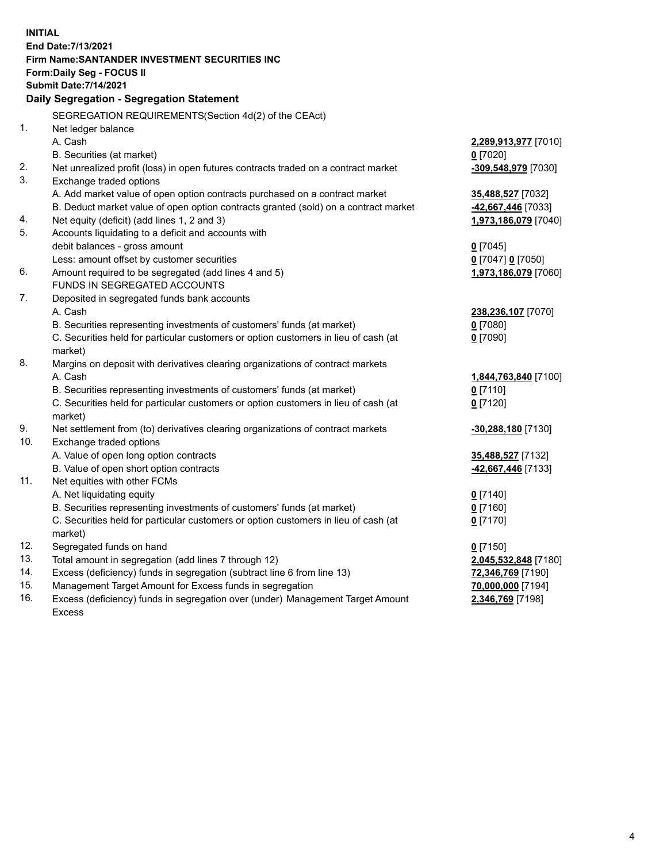| <b>INITIAL</b> |                                                                                           |                          |  |  |  |  |
|----------------|-------------------------------------------------------------------------------------------|--------------------------|--|--|--|--|
|                | End Date: 7/13/2021                                                                       |                          |  |  |  |  |
|                | Firm Name: SANTANDER INVESTMENT SECURITIES INC                                            |                          |  |  |  |  |
|                | Form: Daily Seg - FOCUS II                                                                |                          |  |  |  |  |
|                | <b>Submit Date: 7/14/2021</b>                                                             |                          |  |  |  |  |
|                | Daily Segregation - Segregation Statement                                                 |                          |  |  |  |  |
|                | SEGREGATION REQUIREMENTS(Section 4d(2) of the CEAct)                                      |                          |  |  |  |  |
| 1.             | Net ledger balance                                                                        |                          |  |  |  |  |
|                | A. Cash                                                                                   | 2,289,913,977 [7010]     |  |  |  |  |
|                | B. Securities (at market)                                                                 | $0$ [7020]               |  |  |  |  |
| 2.             | Net unrealized profit (loss) in open futures contracts traded on a contract market        | -309,548,979 [7030]      |  |  |  |  |
| 3.             | Exchange traded options                                                                   |                          |  |  |  |  |
|                | A. Add market value of open option contracts purchased on a contract market               | 35,488,527 [7032]        |  |  |  |  |
|                | B. Deduct market value of open option contracts granted (sold) on a contract market       | -42,667,446 [7033]       |  |  |  |  |
| 4.             | Net equity (deficit) (add lines 1, 2 and 3)                                               | 1,973,186,079 [7040]     |  |  |  |  |
| 5.             | Accounts liquidating to a deficit and accounts with                                       |                          |  |  |  |  |
|                | debit balances - gross amount                                                             | $0$ [7045]               |  |  |  |  |
|                | Less: amount offset by customer securities                                                | 0 [7047] 0 [7050]        |  |  |  |  |
| 6.             | Amount required to be segregated (add lines 4 and 5)                                      | 1,973,186,079 [7060]     |  |  |  |  |
|                | FUNDS IN SEGREGATED ACCOUNTS                                                              |                          |  |  |  |  |
| 7.             | Deposited in segregated funds bank accounts                                               |                          |  |  |  |  |
|                | A. Cash                                                                                   | 238,236,107 [7070]       |  |  |  |  |
|                | B. Securities representing investments of customers' funds (at market)                    | $0$ [7080]               |  |  |  |  |
|                | C. Securities held for particular customers or option customers in lieu of cash (at       | $0$ [7090]               |  |  |  |  |
| 8.             | market)                                                                                   |                          |  |  |  |  |
|                | Margins on deposit with derivatives clearing organizations of contract markets<br>A. Cash |                          |  |  |  |  |
|                | B. Securities representing investments of customers' funds (at market)                    | 1,844,763,840 [7100]     |  |  |  |  |
|                | C. Securities held for particular customers or option customers in lieu of cash (at       | $0$ [7110]<br>$0$ [7120] |  |  |  |  |
|                | market)                                                                                   |                          |  |  |  |  |
| 9.             | Net settlement from (to) derivatives clearing organizations of contract markets           | -30,288,180 [7130]       |  |  |  |  |
| 10.            | Exchange traded options                                                                   |                          |  |  |  |  |
|                | A. Value of open long option contracts                                                    | 35,488,527 [7132]        |  |  |  |  |
|                | B. Value of open short option contracts                                                   | 42,667,446 [7133]        |  |  |  |  |
| 11.            | Net equities with other FCMs                                                              |                          |  |  |  |  |
|                | A. Net liquidating equity                                                                 | $0$ [7140]               |  |  |  |  |
|                | B. Securities representing investments of customers' funds (at market)                    | $0$ [7160]               |  |  |  |  |
|                | C. Securities held for particular customers or option customers in lieu of cash (at       | $0$ [7170]               |  |  |  |  |
|                | market)                                                                                   |                          |  |  |  |  |
| 12.            | Segregated funds on hand                                                                  | $0$ [7150]               |  |  |  |  |
| 13.            | Total amount in segregation (add lines 7 through 12)                                      | 2,045,532,848 [7180]     |  |  |  |  |
| 14.            | Excess (deficiency) funds in segregation (subtract line 6 from line 13)                   | 72,346,769 [7190]        |  |  |  |  |
| 15.            | Management Target Amount for Excess funds in segregation                                  | 70,000,000 [7194]        |  |  |  |  |
| 16.            | Excess (deficiency) funds in segregation over (under) Management Target Amount            | 2,346,769 [7198]         |  |  |  |  |
|                | <b>Excess</b>                                                                             |                          |  |  |  |  |